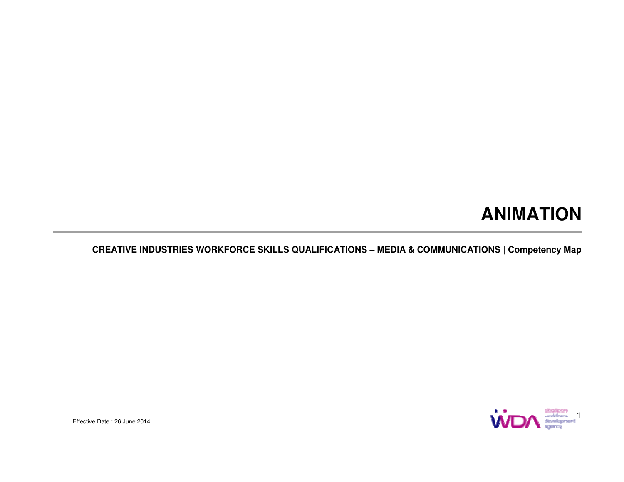## **ANIMATION**

#### **CREATIVE INDUSTRIES WORKFORCE SKILLS QUALIFICATIONS – MEDIA & COMMUNICATIONS | Competency Map**



Effective Date : 26 June 2014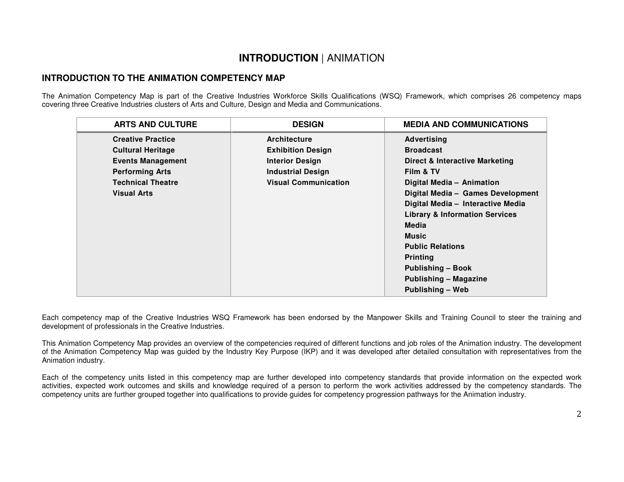#### **INTRODUCTION** | ANIMATION

#### **INTRODUCTION TO THE ANIMATION COMPETENCY MAP**

The Animation Competency Map is part of the Creative Industries Workforce Skills Qualifications (WSQ) Framework, which comprises 26 competency maps covering three Creative Industries clusters of Arts and Culture, Design and Media and Communications.

| <b>DESIGN</b>               | <b>MEDIA AND COMMUNICATIONS</b>           |
|-----------------------------|-------------------------------------------|
| <b>Architecture</b>         | Advertising                               |
| <b>Exhibition Design</b>    | <b>Broadcast</b>                          |
| <b>Interior Design</b>      | <b>Direct &amp; Interactive Marketing</b> |
| <b>Industrial Design</b>    | Film & TV                                 |
| <b>Visual Communication</b> | Digital Media - Animation                 |
|                             | Digital Media - Games Development         |
|                             | Digital Media - Interactive Media         |
|                             | <b>Library &amp; Information Services</b> |
|                             | Media                                     |
|                             | <b>Music</b>                              |
|                             | <b>Public Relations</b>                   |
|                             | <b>Printing</b>                           |
|                             | <b>Publishing - Book</b>                  |
|                             | <b>Publishing - Magazine</b>              |
|                             | Publishing - Web                          |
|                             |                                           |

Each competency map of the Creative Industries WSQ Framework has been endorsed by the Manpower Skills and Training Council to steer the training and development of professionals in the Creative Industries.

This Animation Competency Map provides an overview of the competencies required of different functions and job roles of the Animation industry. The development of the Animation Competency Map was guided by the Industry Key Purpose (IKP) and it was developed after detailed consultation with representatives from the Animation industry.

Each of the competency units listed in this competency map are further developed into competency standards that provide information on the expected work activities, expected work outcomes and skills and knowledge required of a person to perform the work activities addressed by the competency standards. The competency units are further grouped together into qualifications to provide guides for competency progression pathways for the Animation industry.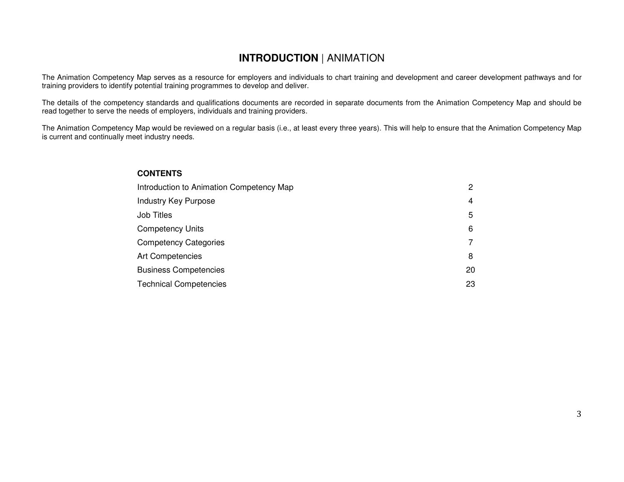#### **INTRODUCTION** | ANIMATION

The Animation Competency Map serves as a resource for employers and individuals to chart training and development and career development pathways and fortraining providers to identify potential training programmes to develop and deliver.

The details of the competency standards and qualifications documents are recorded in separate documents from the Animation Competency Map and should be read together to serve the needs of employers, individuals and training providers.

The Animation Competency Map would be reviewed on a regular basis (i.e., at least every three years). This will help to ensure that the Animation Competency Map is current and continually meet industry needs.

#### **CONTENTS**

| Introduction to Animation Competency Map |    |  |
|------------------------------------------|----|--|
| <b>Industry Key Purpose</b>              | 4  |  |
| <b>Job Titles</b>                        | 5  |  |
| <b>Competency Units</b>                  | 6  |  |
| <b>Competency Categories</b>             |    |  |
| <b>Art Competencies</b>                  | 8  |  |
| <b>Business Competencies</b>             | 20 |  |
| <b>Technical Competencies</b>            | 23 |  |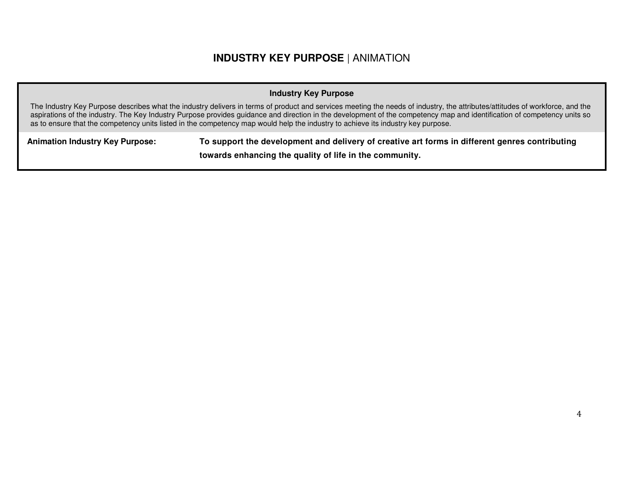#### **INDUSTRY KEY PURPOSE** | ANIMATION

#### **Industry Key Purpose**

The Industry Key Purpose describes what the industry delivers in terms of product and services meeting the needs of industry, the attributes/attitudes of workforce, and the aspirations of the industry. The Key Industry Purpose provides guidance and direction in the development of the competency map and identification of competency units so as to ensure that the competency units listed in the competency map would help the industry to achieve its industry key purpose.

**Animation Industry Key Purpose: To support the development and delivery of creative art forms in different genres contributing towards enhancing the quality of life in the community.**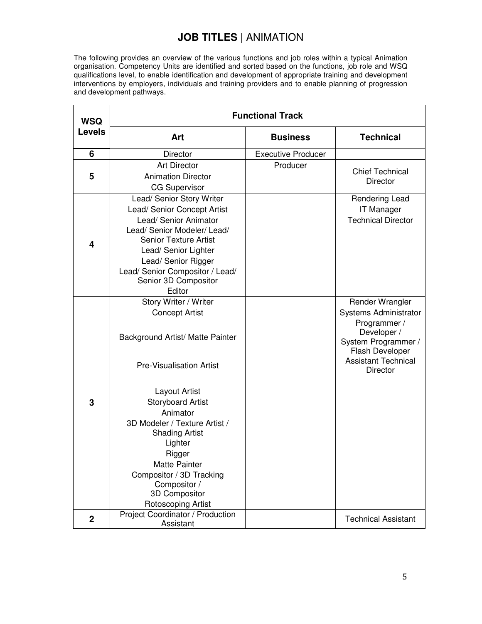#### **JOB TITLES** | ANIMATION

The following provides an overview of the various functions and job roles within a typical Animation organisation. Competency Units are identified and sorted based on the functions, job role and WSQ qualifications level, to enable identification and development of appropriate training and development interventions by employers, individuals and training providers and to enable planning of progression and development pathways.

| <b>WSQ</b>     | <b>Functional Track</b>                                                                                                                                                                                                                                                                                                                            |                           |                                                                                                                                                             |  |  |  |  |
|----------------|----------------------------------------------------------------------------------------------------------------------------------------------------------------------------------------------------------------------------------------------------------------------------------------------------------------------------------------------------|---------------------------|-------------------------------------------------------------------------------------------------------------------------------------------------------------|--|--|--|--|
| <b>Levels</b>  | Art                                                                                                                                                                                                                                                                                                                                                | <b>Business</b>           | <b>Technical</b>                                                                                                                                            |  |  |  |  |
| 6              | Director                                                                                                                                                                                                                                                                                                                                           | <b>Executive Producer</b> |                                                                                                                                                             |  |  |  |  |
| 5              | <b>Art Director</b><br><b>Animation Director</b><br><b>CG Supervisor</b>                                                                                                                                                                                                                                                                           | Producer                  | <b>Chief Technical</b><br><b>Director</b>                                                                                                                   |  |  |  |  |
| 4              | Lead/ Senior Story Writer<br>Lead/ Senior Concept Artist<br>Lead/ Senior Animator<br>Lead/ Senior Modeler/ Lead/<br><b>Senior Texture Artist</b><br>Lead/ Senior Lighter<br>Lead/ Senior Rigger<br>Lead/ Senior Compositor / Lead/<br>Senior 3D Compositor<br>Editor                                                                               |                           | Rendering Lead<br><b>IT Manager</b><br><b>Technical Director</b>                                                                                            |  |  |  |  |
| 3              | Story Writer / Writer<br><b>Concept Artist</b><br>Background Artist/ Matte Painter<br><b>Pre-Visualisation Artist</b><br>Layout Artist<br><b>Storyboard Artist</b><br>Animator<br>3D Modeler / Texture Artist /<br><b>Shading Artist</b><br>Lighter<br>Rigger<br><b>Matte Painter</b><br>Compositor / 3D Tracking<br>Compositor /<br>3D Compositor |                           | Render Wrangler<br>Systems Administrator<br>Programmer /<br>Developer /<br>System Programmer /<br>Flash Developer<br><b>Assistant Technical</b><br>Director |  |  |  |  |
| $\overline{2}$ | Rotoscoping Artist<br>Project Coordinator / Production<br>Assistant                                                                                                                                                                                                                                                                                |                           | <b>Technical Assistant</b>                                                                                                                                  |  |  |  |  |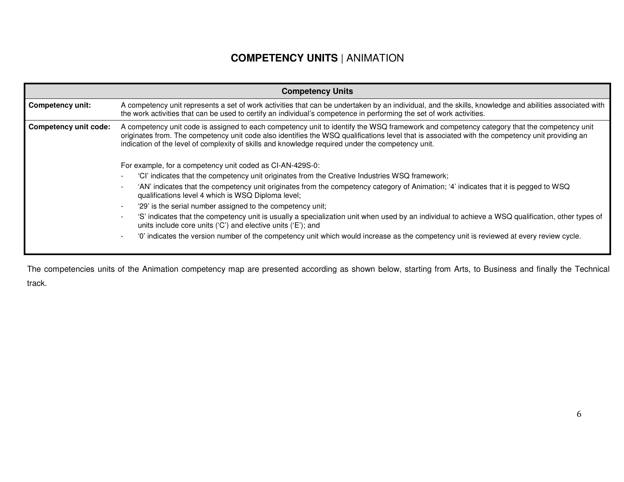#### **COMPETENCY UNITS** | ANIMATION

|                                                                                                                                                                                                                                                                                                                                                                                                                                   | <b>Competency Units</b>                                                                                                                                                                                                                                                        |  |  |  |  |  |  |
|-----------------------------------------------------------------------------------------------------------------------------------------------------------------------------------------------------------------------------------------------------------------------------------------------------------------------------------------------------------------------------------------------------------------------------------|--------------------------------------------------------------------------------------------------------------------------------------------------------------------------------------------------------------------------------------------------------------------------------|--|--|--|--|--|--|
| <b>Competency unit:</b>                                                                                                                                                                                                                                                                                                                                                                                                           | A competency unit represents a set of work activities that can be undertaken by an individual, and the skills, knowledge and abilities associated with<br>the work activities that can be used to certify an individual's competence in performing the set of work activities. |  |  |  |  |  |  |
| A competency unit code is assigned to each competency unit to identify the WSQ framework and competency category that the competency unit<br><b>Competency unit code:</b><br>originates from. The competency unit code also identifies the WSQ qualifications level that is associated with the competency unit providing an<br>indication of the level of complexity of skills and knowledge required under the competency unit. |                                                                                                                                                                                                                                                                                |  |  |  |  |  |  |
|                                                                                                                                                                                                                                                                                                                                                                                                                                   | For example, for a competency unit coded as CI-AN-429S-0:                                                                                                                                                                                                                      |  |  |  |  |  |  |
|                                                                                                                                                                                                                                                                                                                                                                                                                                   | 'Cl' indicates that the competency unit originates from the Creative Industries WSQ framework;                                                                                                                                                                                 |  |  |  |  |  |  |
|                                                                                                                                                                                                                                                                                                                                                                                                                                   | 'AN' indicates that the competency unit originates from the competency category of Animation; '4' indicates that it is pegged to WSQ<br>qualifications level 4 which is WSQ Diploma level;                                                                                     |  |  |  |  |  |  |
|                                                                                                                                                                                                                                                                                                                                                                                                                                   | '29' is the serial number assigned to the competency unit;                                                                                                                                                                                                                     |  |  |  |  |  |  |
|                                                                                                                                                                                                                                                                                                                                                                                                                                   | 'S' indicates that the competency unit is usually a specialization unit when used by an individual to achieve a WSQ qualification, other types of<br>units include core units ('C') and elective units ('E'); and                                                              |  |  |  |  |  |  |
|                                                                                                                                                                                                                                                                                                                                                                                                                                   | '0' indicates the version number of the competency unit which would increase as the competency unit is reviewed at every review cycle.                                                                                                                                         |  |  |  |  |  |  |
|                                                                                                                                                                                                                                                                                                                                                                                                                                   |                                                                                                                                                                                                                                                                                |  |  |  |  |  |  |

The competencies units of the Animation competency map are presented according as shown below, starting from Arts, to Business and finally the Technical track.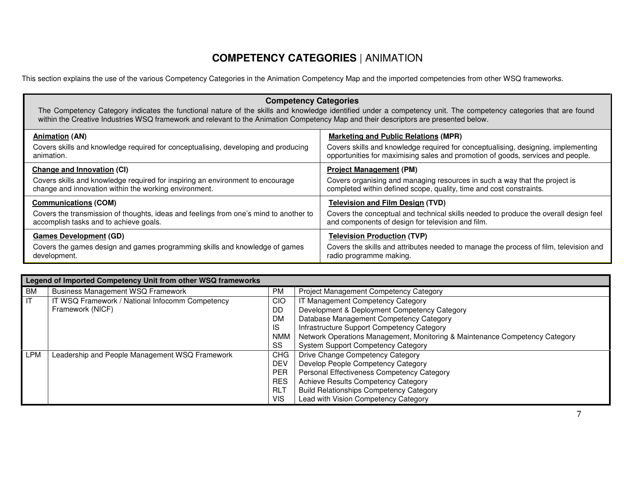#### **COMPETENCY CATEGORIES** | ANIMATION

This section explains the use of the various Competency Categories in the Animation Competency Map and the imported competencies from other WSQ frameworks.

| <b>Competency Categories</b><br>The Competency Category indicates the functional nature of the skills and knowledge identified under a competency unit. The competency categories that are found<br>within the Creative Industries WSQ framework and relevant to the Animation Competency Map and their descriptors are presented below. |                                                                                                                                                                      |  |  |  |  |  |
|------------------------------------------------------------------------------------------------------------------------------------------------------------------------------------------------------------------------------------------------------------------------------------------------------------------------------------------|----------------------------------------------------------------------------------------------------------------------------------------------------------------------|--|--|--|--|--|
| <b>Animation (AN)</b>                                                                                                                                                                                                                                                                                                                    | <b>Marketing and Public Relations (MPR)</b>                                                                                                                          |  |  |  |  |  |
| Covers skills and knowledge required for conceptualising, developing and producing<br>animation.                                                                                                                                                                                                                                         | Covers skills and knowledge required for conceptualising, designing, implementing<br>opportunities for maximising sales and promotion of goods, services and people. |  |  |  |  |  |
| <b>Change and Innovation (CI)</b>                                                                                                                                                                                                                                                                                                        | <b>Project Management (PM)</b>                                                                                                                                       |  |  |  |  |  |
| Covers skills and knowledge required for inspiring an environment to encourage<br>change and innovation within the working environment.                                                                                                                                                                                                  | Covers organising and managing resources in such a way that the project is<br>completed within defined scope, quality, time and cost constraints.                    |  |  |  |  |  |
| <b>Communications (COM)</b>                                                                                                                                                                                                                                                                                                              | <b>Television and Film Design (TVD)</b>                                                                                                                              |  |  |  |  |  |
| Covers the transmission of thoughts, ideas and feelings from one's mind to another to<br>accomplish tasks and to achieve goals.                                                                                                                                                                                                          | Covers the conceptual and technical skills needed to produce the overall design feel<br>and components of design for television and film.                            |  |  |  |  |  |
| <b>Games Development (GD)</b>                                                                                                                                                                                                                                                                                                            | <b>Television Production (TVP)</b>                                                                                                                                   |  |  |  |  |  |
| Covers the games design and games programming skills and knowledge of games<br>development.                                                                                                                                                                                                                                              | Covers the skills and attributes needed to manage the process of film, television and<br>radio programme making.                                                     |  |  |  |  |  |

|           | Legend of Imported Competency Unit from other WSQ frameworks |                                   |                                                                             |  |  |  |
|-----------|--------------------------------------------------------------|-----------------------------------|-----------------------------------------------------------------------------|--|--|--|
| <b>BM</b> | <b>Business Management WSQ Framework</b>                     | <b>PM</b>                         | Project Management Competency Category                                      |  |  |  |
| IT        | IT WSQ Framework / National Infocomm Competency              | IT Management Competency Category |                                                                             |  |  |  |
|           | Framework (NICF)                                             | DD                                | Development & Deployment Competency Category                                |  |  |  |
|           |                                                              | <b>DM</b>                         | Database Management Competency Category                                     |  |  |  |
|           |                                                              | <b>IS</b>                         | Infrastructure Support Competency Category                                  |  |  |  |
|           |                                                              | <b>NMM</b>                        | Network Operations Management, Monitoring & Maintenance Competency Category |  |  |  |
|           |                                                              | SS                                | <b>System Support Competency Category</b>                                   |  |  |  |
| LPM       | Leadership and People Management WSQ Framework               | <b>CHG</b>                        | Drive Change Competency Category                                            |  |  |  |
|           |                                                              | <b>DEV</b>                        | Develop People Competency Category                                          |  |  |  |
|           |                                                              | <b>PER</b>                        | Personal Effectiveness Competency Category                                  |  |  |  |
|           |                                                              | <b>RES</b>                        | Achieve Results Competency Category                                         |  |  |  |
|           |                                                              | <b>RLT</b>                        | <b>Build Relationships Competency Category</b>                              |  |  |  |
|           |                                                              | <b>VIS</b>                        | Lead with Vision Competency Category                                        |  |  |  |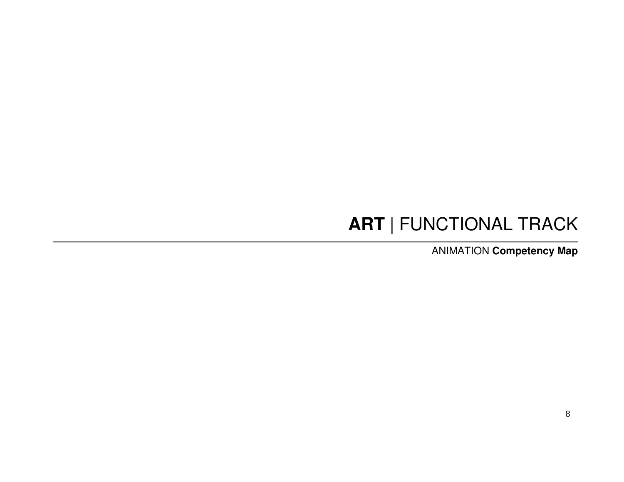# **ART** | FUNCTIONAL TRACK

ANIMATION **Competency Map**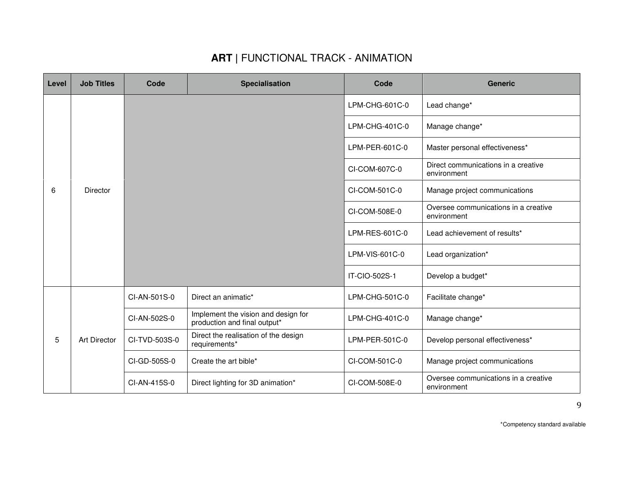| Level | <b>Job Titles</b>   | Code          | <b>Specialisation</b>                                               | Code           | <b>Generic</b>                                      |
|-------|---------------------|---------------|---------------------------------------------------------------------|----------------|-----------------------------------------------------|
|       |                     |               |                                                                     | LPM-CHG-601C-0 | Lead change*                                        |
|       |                     |               |                                                                     | LPM-CHG-401C-0 | Manage change*                                      |
|       |                     |               |                                                                     | LPM-PER-601C-0 | Master personal effectiveness*                      |
|       |                     |               |                                                                     | CI-COM-607C-0  | Direct communications in a creative<br>environment  |
| 6     | Director            |               |                                                                     | CI-COM-501C-0  | Manage project communications                       |
|       |                     |               |                                                                     | CI-COM-508E-0  | Oversee communications in a creative<br>environment |
|       |                     |               |                                                                     | LPM-RES-601C-0 | Lead achievement of results*                        |
|       |                     |               |                                                                     | LPM-VIS-601C-0 | Lead organization*                                  |
|       |                     |               |                                                                     | IT-CIO-502S-1  | Develop a budget*                                   |
|       |                     | CI-AN-501S-0  | Direct an animatic*                                                 | LPM-CHG-501C-0 | Facilitate change*                                  |
| 5     |                     | CI-AN-502S-0  | Implement the vision and design for<br>production and final output* | LPM-CHG-401C-0 | Manage change*                                      |
|       | <b>Art Director</b> | CI-TVD-503S-0 | Direct the realisation of the design<br>requirements*               | LPM-PER-501C-0 | Develop personal effectiveness*                     |
|       |                     | CI-GD-505S-0  | Create the art bible*                                               | CI-COM-501C-0  | Manage project communications                       |
|       |                     | CI-AN-415S-0  | Direct lighting for 3D animation*                                   | CI-COM-508E-0  | Oversee communications in a creative<br>environment |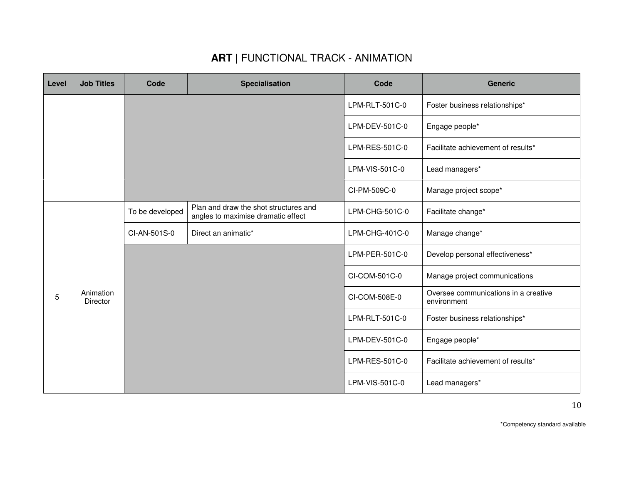| Level | <b>Job Titles</b>     | Code            | Specialisation                                                              | Code           | <b>Generic</b>                                      |
|-------|-----------------------|-----------------|-----------------------------------------------------------------------------|----------------|-----------------------------------------------------|
|       |                       |                 |                                                                             | LPM-RLT-501C-0 | Foster business relationships*                      |
|       |                       |                 |                                                                             | LPM-DEV-501C-0 | Engage people*                                      |
|       |                       |                 |                                                                             | LPM-RES-501C-0 | Facilitate achievement of results*                  |
|       |                       |                 |                                                                             | LPM-VIS-501C-0 | Lead managers*                                      |
|       |                       |                 |                                                                             | CI-PM-509C-0   | Manage project scope*                               |
|       |                       | To be developed | Plan and draw the shot structures and<br>angles to maximise dramatic effect | LPM-CHG-501C-0 | Facilitate change*                                  |
|       |                       | CI-AN-501S-0    | Direct an animatic*                                                         | LPM-CHG-401C-0 | Manage change*                                      |
|       |                       |                 |                                                                             | LPM-PER-501C-0 | Develop personal effectiveness*                     |
|       |                       |                 |                                                                             | CI-COM-501C-0  | Manage project communications                       |
| 5     | Animation<br>Director |                 |                                                                             | CI-COM-508E-0  | Oversee communications in a creative<br>environment |
|       |                       |                 |                                                                             | LPM-RLT-501C-0 | Foster business relationships*                      |
|       |                       |                 |                                                                             | LPM-DEV-501C-0 | Engage people*                                      |
|       |                       |                 |                                                                             | LPM-RES-501C-0 | Facilitate achievement of results*                  |
|       |                       |                 |                                                                             | LPM-VIS-501C-0 | Lead managers*                                      |

\*Competency standard available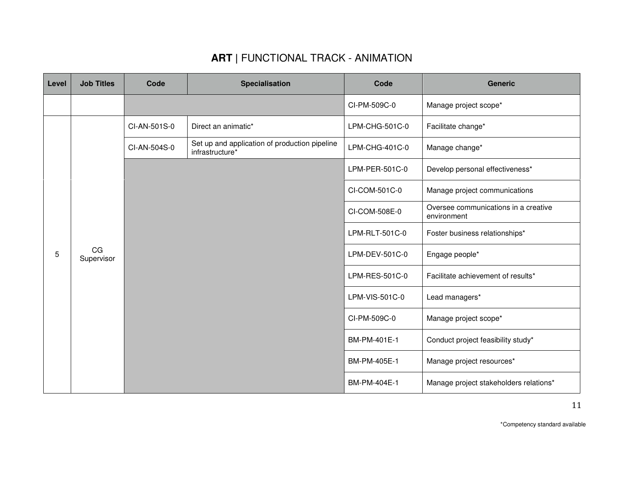| Level | <b>Job Titles</b> | Code         | <b>Specialisation</b>                                            | Code           | <b>Generic</b>                                      |
|-------|-------------------|--------------|------------------------------------------------------------------|----------------|-----------------------------------------------------|
|       |                   |              |                                                                  | CI-PM-509C-0   | Manage project scope*                               |
|       |                   | CI-AN-501S-0 | Direct an animatic*                                              | LPM-CHG-501C-0 | Facilitate change*                                  |
|       |                   | CI-AN-504S-0 | Set up and application of production pipeline<br>infrastructure* | LPM-CHG-401C-0 | Manage change*                                      |
|       |                   |              |                                                                  | LPM-PER-501C-0 | Develop personal effectiveness*                     |
|       |                   |              |                                                                  | CI-COM-501C-0  | Manage project communications                       |
|       |                   |              |                                                                  | CI-COM-508E-0  | Oversee communications in a creative<br>environment |
|       |                   |              |                                                                  | LPM-RLT-501C-0 | Foster business relationships*                      |
| 5     | CG<br>Supervisor  |              |                                                                  | LPM-DEV-501C-0 | Engage people*                                      |
|       |                   |              |                                                                  | LPM-RES-501C-0 | Facilitate achievement of results*                  |
|       |                   |              |                                                                  | LPM-VIS-501C-0 | Lead managers*                                      |
|       |                   |              |                                                                  | CI-PM-509C-0   | Manage project scope*                               |
|       |                   |              |                                                                  | BM-PM-401E-1   | Conduct project feasibility study*                  |
|       |                   |              |                                                                  | BM-PM-405E-1   | Manage project resources*                           |
|       |                   |              |                                                                  | BM-PM-404E-1   | Manage project stakeholders relations*              |

\*Competency standard available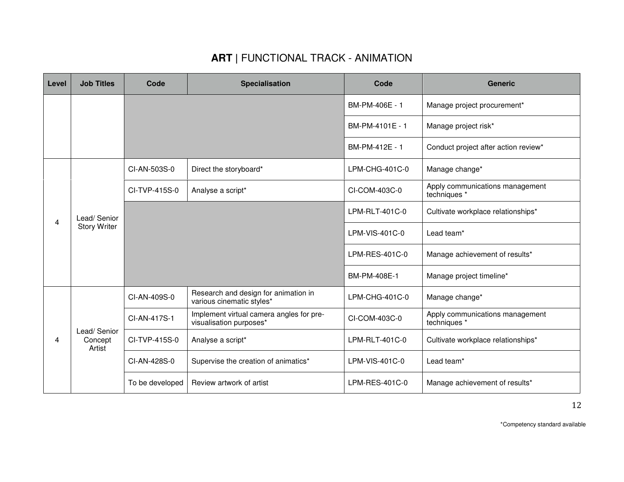| Level | <b>Job Titles</b>                  | Code            | <b>Specialisation</b>                                               | Code            | <b>Generic</b>                                  |
|-------|------------------------------------|-----------------|---------------------------------------------------------------------|-----------------|-------------------------------------------------|
|       |                                    |                 |                                                                     | BM-PM-406E - 1  | Manage project procurement <sup>*</sup>         |
|       |                                    |                 |                                                                     | BM-PM-4101E - 1 | Manage project risk*                            |
|       |                                    |                 |                                                                     | BM-PM-412E - 1  | Conduct project after action review*            |
|       |                                    | CI-AN-503S-0    | Direct the storyboard*                                              | LPM-CHG-401C-0  | Manage change*                                  |
|       |                                    | CI-TVP-415S-0   | Analyse a script*                                                   | CI-COM-403C-0   | Apply communications management<br>techniques * |
|       | Lead/Senior<br><b>Story Writer</b> |                 |                                                                     | LPM-RLT-401C-0  | Cultivate workplace relationships*              |
| 4     |                                    |                 |                                                                     | LPM-VIS-401C-0  | Lead team*                                      |
|       |                                    |                 |                                                                     | LPM-RES-401C-0  | Manage achievement of results*                  |
|       |                                    |                 |                                                                     | BM-PM-408E-1    | Manage project timeline*                        |
|       |                                    | CI-AN-409S-0    | Research and design for animation in<br>various cinematic styles*   | LPM-CHG-401C-0  | Manage change*                                  |
|       |                                    | CI-AN-417S-1    | Implement virtual camera angles for pre-<br>visualisation purposes* | CI-COM-403C-0   | Apply communications management<br>techniques * |
| 4     | Lead/Senior<br>Concept<br>Artist   | CI-TVP-415S-0   | Analyse a script*                                                   | LPM-RLT-401C-0  | Cultivate workplace relationships*              |
|       |                                    | CI-AN-428S-0    | Supervise the creation of animatics*                                | LPM-VIS-401C-0  | Lead team*                                      |
|       |                                    | To be developed | Review artwork of artist                                            | LPM-RES-401C-0  | Manage achievement of results*                  |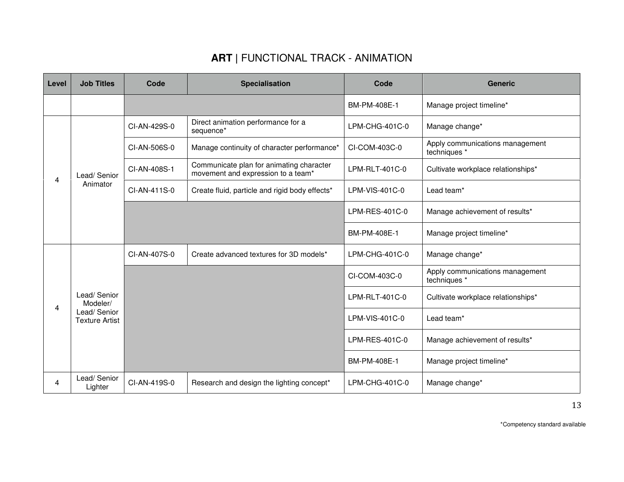| Level | <b>Job Titles</b>                                               | Code         | <b>Specialisation</b>                                                          | Code             | <b>Generic</b>                                  |
|-------|-----------------------------------------------------------------|--------------|--------------------------------------------------------------------------------|------------------|-------------------------------------------------|
|       |                                                                 |              |                                                                                | BM-PM-408E-1     | Manage project timeline*                        |
|       |                                                                 | CI-AN-429S-0 | Direct animation performance for a<br>sequence*                                | LPM-CHG-401C-0   | Manage change*                                  |
|       |                                                                 | CI-AN-506S-0 | Manage continuity of character performance*                                    | CI-COM-403C-0    | Apply communications management<br>techniques * |
| 4     | Lead/Senior                                                     | CI-AN-408S-1 | Communicate plan for animating character<br>movement and expression to a team* | LPM-RLT-401C-0   | Cultivate workplace relationships*              |
|       | Animator                                                        | CI-AN-411S-0 | Create fluid, particle and rigid body effects*                                 | LPM-VIS-401C-0   | Lead team*                                      |
|       |                                                                 |              |                                                                                | LPM-RES-401C-0   | Manage achievement of results*                  |
|       |                                                                 |              |                                                                                | BM-PM-408E-1     | Manage project timeline*                        |
|       | Lead/Senior<br>Modeler/<br>Lead/Senior<br><b>Texture Artist</b> | CI-AN-407S-0 | Create advanced textures for 3D models*                                        | LPM-CHG-401C-0   | Manage change*                                  |
|       |                                                                 |              |                                                                                | CI-COM-403C-0    | Apply communications management<br>techniques * |
|       |                                                                 |              |                                                                                | LPM-RLT-401C-0   | Cultivate workplace relationships*              |
| 4     |                                                                 |              |                                                                                | LPM-VIS-401C-0   | Lead team*                                      |
|       |                                                                 |              |                                                                                | LPM-RES-401C-0   | Manage achievement of results*                  |
|       |                                                                 |              |                                                                                | BM-PM-408E-1     | Manage project timeline*                        |
| 4     | Lead/Senior<br>Lighter                                          | CI-AN-419S-0 | Research and design the lighting concept*                                      | $LPM-CHG-401C-0$ | Manage change*                                  |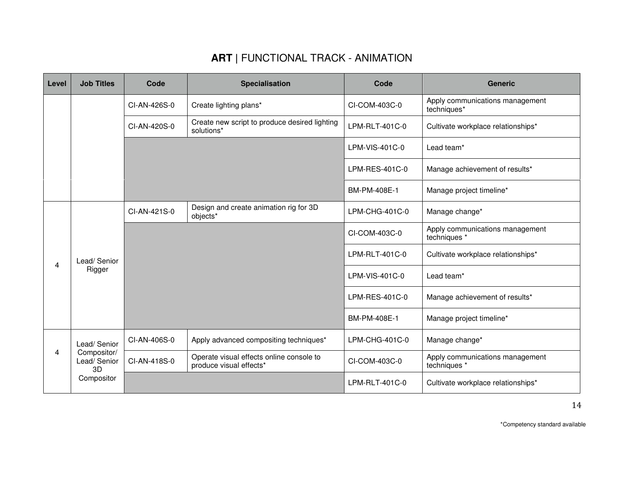| Level | <b>Job Titles</b>                | Code         | <b>Specialisation</b>                                               | Code           | <b>Generic</b>                                  |
|-------|----------------------------------|--------------|---------------------------------------------------------------------|----------------|-------------------------------------------------|
|       |                                  | CI-AN-426S-0 | Create lighting plans*                                              | CI-COM-403C-0  | Apply communications management<br>techniques*  |
|       |                                  | CI-AN-420S-0 | Create new script to produce desired lighting<br>solutions*         | LPM-RLT-401C-0 | Cultivate workplace relationships*              |
|       |                                  |              |                                                                     | LPM-VIS-401C-0 | Lead team*                                      |
|       |                                  |              |                                                                     | LPM-RES-401C-0 | Manage achievement of results*                  |
|       |                                  |              |                                                                     | BM-PM-408E-1   | Manage project timeline*                        |
|       |                                  | CI-AN-421S-0 | Design and create animation rig for 3D<br>objects*                  | LPM-CHG-401C-0 | Manage change*                                  |
|       | Lead/Senior<br>Rigger            |              |                                                                     | CI-COM-403C-0  | Apply communications management<br>techniques * |
| 4     |                                  |              |                                                                     | LPM-RLT-401C-0 | Cultivate workplace relationships*              |
|       |                                  |              |                                                                     | LPM-VIS-401C-0 | Lead team*                                      |
|       |                                  |              |                                                                     | LPM-RES-401C-0 | Manage achievement of results*                  |
|       |                                  |              |                                                                     | BM-PM-408E-1   | Manage project timeline*                        |
|       | Lead/Senior                      | CI-AN-406S-0 | Apply advanced compositing techniques*                              | LPM-CHG-401C-0 | Manage change*                                  |
| 4     | Compositor/<br>Lead/Senior<br>3D | CI-AN-418S-0 | Operate visual effects online console to<br>produce visual effects* | CI-COM-403C-0  | Apply communications management<br>techniques * |
|       | Compositor                       |              |                                                                     | LPM-RLT-401C-0 | Cultivate workplace relationships*              |

\*Competency standard available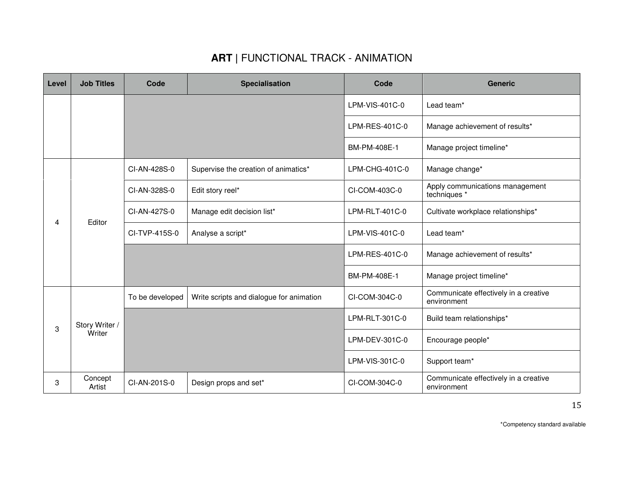| Level | <b>Job Titles</b> | Code            | <b>Specialisation</b>                                                                                                                                   | Code           | <b>Generic</b>                                       |
|-------|-------------------|-----------------|---------------------------------------------------------------------------------------------------------------------------------------------------------|----------------|------------------------------------------------------|
|       |                   |                 |                                                                                                                                                         | LPM-VIS-401C-0 | Lead team*                                           |
|       |                   |                 |                                                                                                                                                         | LPM-RES-401C-0 | Manage achievement of results*                       |
|       |                   |                 | Supervise the creation of animatics*<br>Edit story reel*<br>Manage edit decision list*<br>Analyse a script*<br>Write scripts and dialogue for animation | BM-PM-408E-1   | Manage project timeline*                             |
|       |                   | CI-AN-428S-0    |                                                                                                                                                         | LPM-CHG-401C-0 | Manage change*                                       |
|       | Editor            | CI-AN-328S-0    |                                                                                                                                                         | CI-COM-403C-0  | Apply communications management<br>techniques *      |
|       |                   | CI-AN-427S-0    |                                                                                                                                                         | LPM-RLT-401C-0 | Cultivate workplace relationships*                   |
|       |                   | CI-TVP-415S-0   |                                                                                                                                                         | LPM-VIS-401C-0 | Lead team*                                           |
|       |                   |                 |                                                                                                                                                         | LPM-RES-401C-0 | Manage achievement of results*                       |
| 4     |                   |                 |                                                                                                                                                         | BM-PM-408E-1   | Manage project timeline*                             |
|       |                   | To be developed |                                                                                                                                                         | CI-COM-304C-0  | Communicate effectively in a creative<br>environment |
| 3     | Story Writer /    |                 |                                                                                                                                                         | LPM-RLT-301C-0 | Build team relationships*                            |
|       | Writer            |                 |                                                                                                                                                         | LPM-DEV-301C-0 | Encourage people*                                    |
|       |                   |                 |                                                                                                                                                         | LPM-VIS-301C-0 | Support team*                                        |
| 3     | Concept<br>Artist | CI-AN-201S-0    | Design props and set*                                                                                                                                   | CI-COM-304C-0  | Communicate effectively in a creative<br>environment |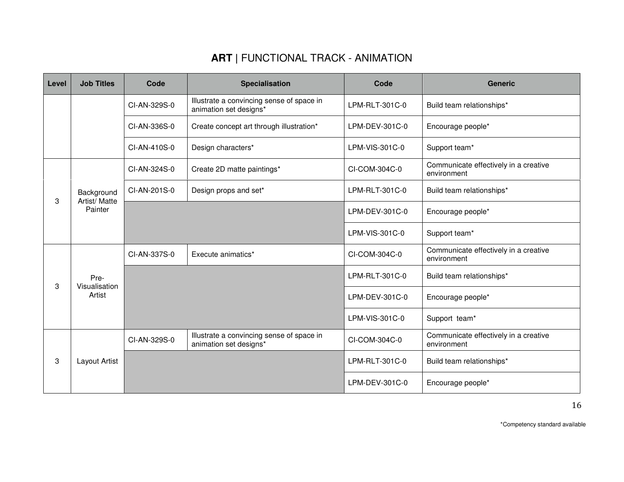| Level | <b>Job Titles</b>        | Code         | <b>Specialisation</b>                                               | Code           | <b>Generic</b>                                       |
|-------|--------------------------|--------------|---------------------------------------------------------------------|----------------|------------------------------------------------------|
|       |                          | CI-AN-329S-0 | Illustrate a convincing sense of space in<br>animation set designs* | LPM-RLT-301C-0 | Build team relationships*                            |
|       |                          | CI-AN-336S-0 | Create concept art through illustration*                            | LPM-DEV-301C-0 | Encourage people*                                    |
|       |                          | CI-AN-410S-0 | Design characters*                                                  | LPM-VIS-301C-0 | Support team*                                        |
|       |                          | CI-AN-324S-0 | Create 2D matte paintings*                                          | CI-COM-304C-0  | Communicate effectively in a creative<br>environment |
|       | Background               | CI-AN-201S-0 | Design props and set*                                               | LPM-RLT-301C-0 | Build team relationships*                            |
| 3     | Artist/ Matte<br>Painter |              |                                                                     | LPM-DEV-301C-0 | Encourage people*                                    |
|       |                          |              |                                                                     | LPM-VIS-301C-0 | Support team*                                        |
|       |                          | CI-AN-337S-0 | Execute animatics*                                                  | CI-COM-304C-0  | Communicate effectively in a creative<br>environment |
|       | Pre-                     |              |                                                                     | LPM-RLT-301C-0 | Build team relationships*                            |
| 3     | Visualisation<br>Artist  |              |                                                                     | LPM-DEV-301C-0 | Encourage people*                                    |
|       |                          |              |                                                                     | LPM-VIS-301C-0 | Support team*                                        |
|       |                          | CI-AN-329S-0 | Illustrate a convincing sense of space in<br>animation set designs* | CI-COM-304C-0  | Communicate effectively in a creative<br>environment |
| 3     | Layout Artist            |              |                                                                     | LPM-RLT-301C-0 | Build team relationships*                            |
|       |                          |              |                                                                     | LPM-DEV-301C-0 | Encourage people*                                    |

\*Competency standard available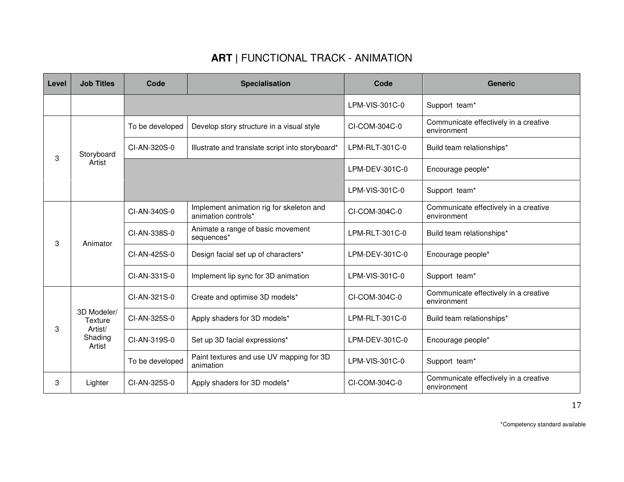| Level | <b>Job Titles</b>                        | Code            | <b>Specialisation</b>                                           | Code           | <b>Generic</b>                                       |
|-------|------------------------------------------|-----------------|-----------------------------------------------------------------|----------------|------------------------------------------------------|
|       |                                          |                 |                                                                 | LPM-VIS-301C-0 | Support team*                                        |
|       |                                          | To be developed | Develop story structure in a visual style                       | CI-COM-304C-0  | Communicate effectively in a creative<br>environment |
| 3     | Storyboard                               | CI-AN-320S-0    | Illustrate and translate script into storyboard*                | LPM-RLT-301C-0 | Build team relationships*                            |
|       | Artist                                   |                 |                                                                 | LPM-DEV-301C-0 | Encourage people*                                    |
|       |                                          |                 |                                                                 | LPM-VIS-301C-0 | Support team*                                        |
|       | Animator                                 | CI-AN-340S-0    | Implement animation rig for skeleton and<br>animation controls* | CI-COM-304C-0  | Communicate effectively in a creative<br>environment |
| 3     |                                          | CI-AN-338S-0    | Animate a range of basic movement<br>sequences*                 | LPM-RLT-301C-0 | Build team relationships*                            |
|       |                                          | CI-AN-425S-0    | Design facial set up of characters*                             | LPM-DEV-301C-0 | Encourage people*                                    |
|       |                                          | CI-AN-331S-0    | Implement lip sync for 3D animation                             | LPM-VIS-301C-0 | Support team*                                        |
|       |                                          | CI-AN-321S-0    | Create and optimise 3D models*                                  | CI-COM-304C-0  | Communicate effectively in a creative<br>environment |
| 3     | 3D Modeler/<br><b>Texture</b><br>Artist/ | CI-AN-325S-0    | Apply shaders for 3D models*                                    | LPM-RLT-301C-0 | Build team relationships*                            |
|       | Shading<br>Artist                        | CI-AN-319S-0    | Set up 3D facial expressions*                                   | LPM-DEV-301C-0 | Encourage people*                                    |
|       |                                          | To be developed | Paint textures and use UV mapping for 3D<br>animation           | LPM-VIS-301C-0 | Support team*                                        |
| 3     | Lighter                                  | CI-AN-325S-0    | Apply shaders for 3D models*                                    | CI-COM-304C-0  | Communicate effectively in a creative<br>environment |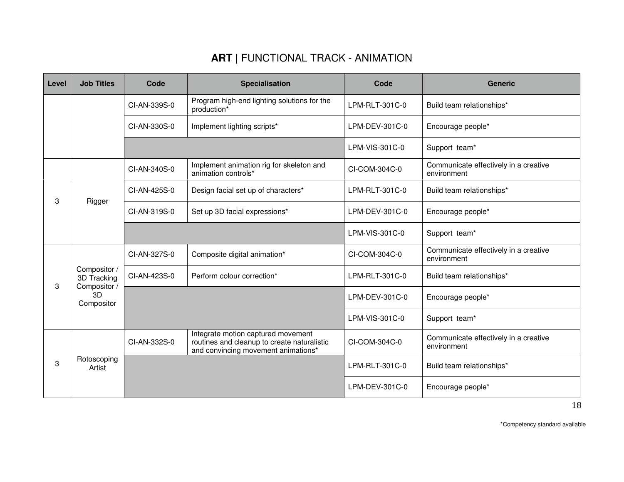| Level  | <b>Job Titles</b>                | Code         | Specialisation                                                                                                           | Code           | <b>Generic</b>                                       |
|--------|----------------------------------|--------------|--------------------------------------------------------------------------------------------------------------------------|----------------|------------------------------------------------------|
|        |                                  | CI-AN-339S-0 | Program high-end lighting solutions for the<br>production*                                                               | LPM-RLT-301C-0 | Build team relationships*                            |
|        |                                  | CI-AN-330S-0 | Implement lighting scripts*                                                                                              | LPM-DEV-301C-0 | Encourage people*                                    |
|        |                                  |              |                                                                                                                          | LPM-VIS-301C-0 | Support team*                                        |
|        |                                  | CI-AN-340S-0 | Implement animation rig for skeleton and<br>animation controls*                                                          | CI-COM-304C-0  | Communicate effectively in a creative<br>environment |
|        |                                  | CI-AN-425S-0 | Design facial set up of characters*                                                                                      | LPM-RLT-301C-0 | Build team relationships*                            |
|        | Rigger                           | CI-AN-319S-0 | Set up 3D facial expressions*                                                                                            | LPM-DEV-301C-0 | Encourage people*                                    |
| 3<br>3 |                                  |              |                                                                                                                          | LPM-VIS-301C-0 | Support team*                                        |
|        |                                  | CI-AN-327S-0 | Composite digital animation*                                                                                             | CI-COM-304C-0  | Communicate effectively in a creative<br>environment |
|        | Compositor /<br>3D Tracking      | CI-AN-423S-0 | Perform colour correction*                                                                                               | LPM-RLT-301C-0 | Build team relationships*                            |
|        | Compositor /<br>3D<br>Compositor |              |                                                                                                                          | LPM-DEV-301C-0 | Encourage people*                                    |
|        |                                  |              |                                                                                                                          | LPM-VIS-301C-0 | Support team*                                        |
|        |                                  | CI-AN-332S-0 | Integrate motion captured movement<br>routines and cleanup to create naturalistic<br>and convincing movement animations* | CI-COM-304C-0  | Communicate effectively in a creative<br>environment |
| 3      | Rotoscoping<br>Artist            |              |                                                                                                                          | LPM-RLT-301C-0 | Build team relationships*                            |
|        |                                  |              |                                                                                                                          | LPM-DEV-301C-0 | Encourage people*                                    |

\*Competency standard available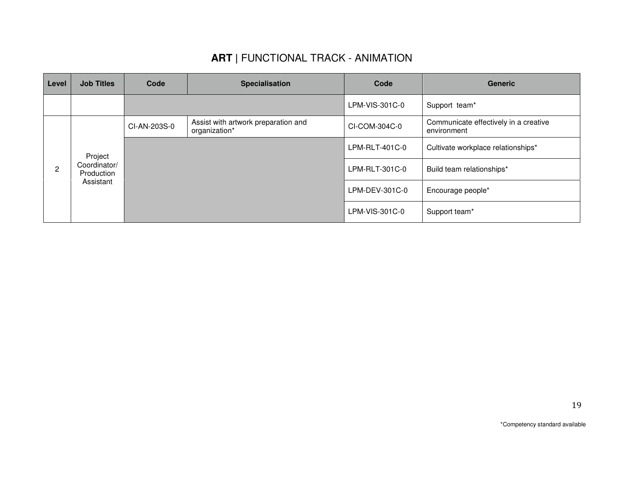| Level | <b>Job Titles</b>                                  | Code         | <b>Specialisation</b>                                | Code             | <b>Generic</b>                                       |
|-------|----------------------------------------------------|--------------|------------------------------------------------------|------------------|------------------------------------------------------|
|       |                                                    |              |                                                      | LPM-VIS-301C-0   | Support team*                                        |
|       |                                                    | CI-AN-203S-0 | Assist with artwork preparation and<br>organization* | CI-COM-304C-0    | Communicate effectively in a creative<br>environment |
|       | Project<br>Coordinator/<br>Production<br>Assistant |              |                                                      | $LPM-RLT-401C-0$ | Cultivate workplace relationships*                   |
| 2     |                                                    |              |                                                      | LPM-RLT-301C-0   | Build team relationships*                            |
|       |                                                    |              |                                                      | LPM-DEV-301C-0   | Encourage people*                                    |
|       |                                                    |              |                                                      | LPM-VIS-301C-0   | Support team*                                        |

19

\*Competency standard available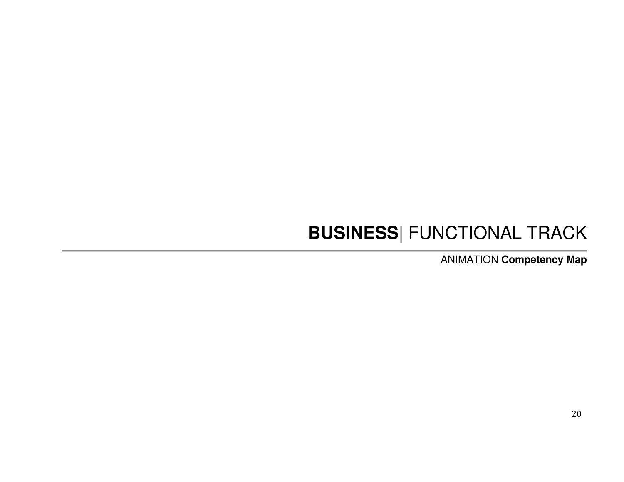# **BUSINESS**| FUNCTIONAL TRACK

ANIMATION **Competency Map**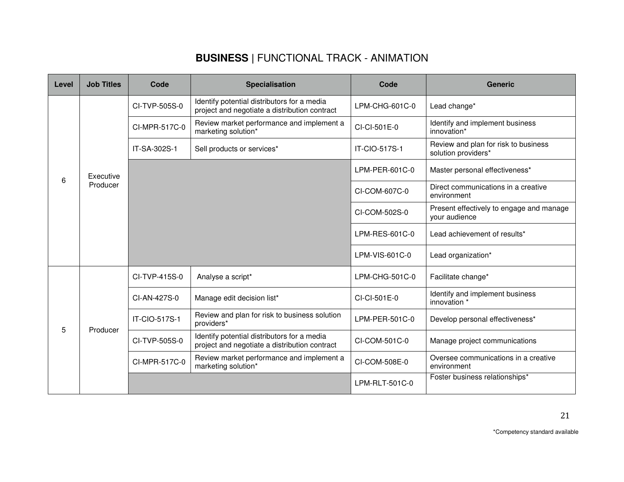## **BUSINESS |** FUNCTIONAL TRACK - ANIMATION

| Level | <b>Job Titles</b> | Code          | <b>Specialisation</b>                                                                        | Code           | <b>Generic</b>                                              |
|-------|-------------------|---------------|----------------------------------------------------------------------------------------------|----------------|-------------------------------------------------------------|
|       |                   | CI-TVP-505S-0 | Identify potential distributors for a media<br>project and negotiate a distribution contract | LPM-CHG-601C-0 | Lead change*                                                |
|       |                   | CI-MPR-517C-0 | Review market performance and implement a<br>marketing solution*                             | CI-CI-501E-0   | Identify and implement business<br>innovation*              |
|       |                   | IT-SA-302S-1  | Sell products or services*                                                                   | IT-CIO-517S-1  | Review and plan for risk to business<br>solution providers* |
| 6     | Executive         |               |                                                                                              | LPM-PER-601C-0 | Master personal effectiveness*                              |
|       | Producer          |               |                                                                                              | CI-COM-607C-0  | Direct communications in a creative<br>environment          |
|       |                   |               |                                                                                              | CI-COM-502S-0  | Present effectively to engage and manage<br>your audience   |
|       |                   |               |                                                                                              | LPM-RES-601C-0 | Lead achievement of results*                                |
|       |                   |               |                                                                                              | LPM-VIS-601C-0 | Lead organization*                                          |
|       |                   | CI-TVP-415S-0 | Analyse a script*                                                                            | LPM-CHG-501C-0 | Facilitate change*                                          |
|       |                   | CI-AN-427S-0  | Manage edit decision list*                                                                   | CI-CI-501E-0   | Identify and implement business<br>innovation *             |
| 5     |                   | IT-CIO-517S-1 | Review and plan for risk to business solution<br>providers*                                  | LPM-PER-501C-0 | Develop personal effectiveness*                             |
|       | Producer          | CI-TVP-505S-0 | Identify potential distributors for a media<br>project and negotiate a distribution contract | CI-COM-501C-0  | Manage project communications                               |
|       |                   | CI-MPR-517C-0 | Review market performance and implement a<br>marketing solution*                             | CI-COM-508E-0  | Oversee communications in a creative<br>environment         |
|       |                   |               |                                                                                              | LPM-RLT-501C-0 | Foster business relationships*                              |

\*Competency standard available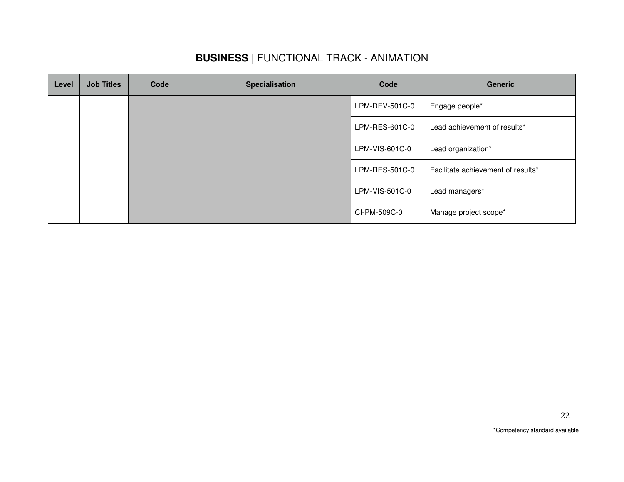## **BUSINESS |** FUNCTIONAL TRACK - ANIMATION

| Level | <b>Job Titles</b> | Code | <b>Specialisation</b> | Code           | <b>Generic</b>                     |
|-------|-------------------|------|-----------------------|----------------|------------------------------------|
|       |                   |      |                       | LPM-DEV-501C-0 | Engage people*                     |
|       |                   |      |                       | LPM-RES-601C-0 | Lead achievement of results*       |
|       |                   |      |                       | LPM-VIS-601C-0 | Lead organization*                 |
|       |                   |      |                       | LPM-RES-501C-0 | Facilitate achievement of results* |
|       |                   |      |                       | LPM-VIS-501C-0 | Lead managers*                     |
|       |                   |      |                       | CI-PM-509C-0   | Manage project scope*              |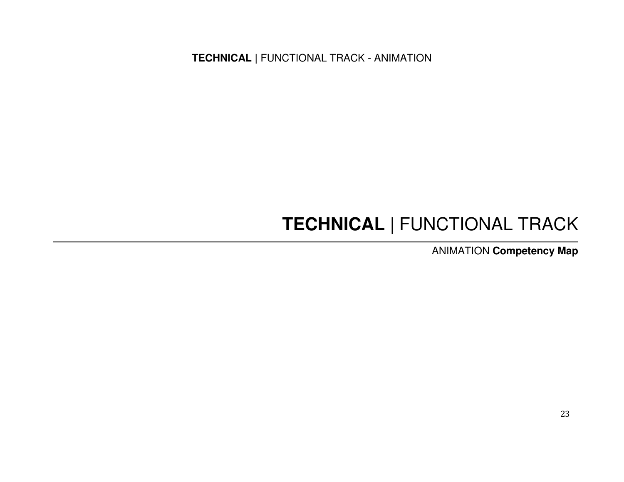# **TECHNICAL** | FUNCTIONAL TRACK

ANIMATION **Competency Map**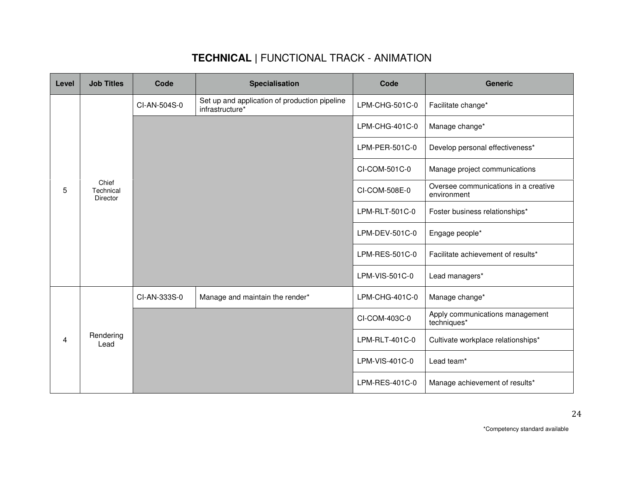| Level | <b>Job Titles</b>              | Code         | <b>Specialisation</b>                                            | Code           | <b>Generic</b>                                      |
|-------|--------------------------------|--------------|------------------------------------------------------------------|----------------|-----------------------------------------------------|
|       |                                | CI-AN-504S-0 | Set up and application of production pipeline<br>infrastructure* | LPM-CHG-501C-0 | Facilitate change*                                  |
|       |                                |              |                                                                  | LPM-CHG-401C-0 | Manage change*                                      |
|       |                                |              |                                                                  | LPM-PER-501C-0 | Develop personal effectiveness*                     |
|       |                                |              |                                                                  | CI-COM-501C-0  | Manage project communications                       |
| 5     | Chief<br>Technical<br>Director |              |                                                                  | CI-COM-508E-0  | Oversee communications in a creative<br>environment |
|       |                                |              |                                                                  | LPM-RLT-501C-0 | Foster business relationships*                      |
|       |                                |              |                                                                  | LPM-DEV-501C-0 | Engage people*                                      |
|       |                                |              |                                                                  | LPM-RES-501C-0 | Facilitate achievement of results*                  |
|       |                                |              |                                                                  | LPM-VIS-501C-0 | Lead managers*                                      |
|       |                                | CI-AN-333S-0 | Manage and maintain the render*                                  | LPM-CHG-401C-0 | Manage change*                                      |
|       |                                |              |                                                                  | CI-COM-403C-0  | Apply communications management<br>techniques*      |
| 4     | Rendering<br>Lead              |              |                                                                  | LPM-RLT-401C-0 | Cultivate workplace relationships*                  |
|       |                                |              |                                                                  | LPM-VIS-401C-0 | Lead team*                                          |
|       |                                |              |                                                                  | LPM-RES-401C-0 | Manage achievement of results*                      |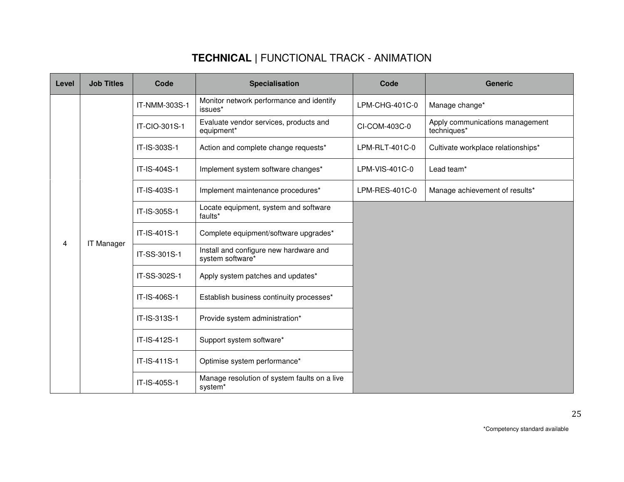| Level | <b>Job Titles</b> | Code          | <b>Specialisation</b>                                      | Code           | <b>Generic</b>                                 |
|-------|-------------------|---------------|------------------------------------------------------------|----------------|------------------------------------------------|
|       |                   | IT-NMM-303S-1 | Monitor network performance and identify<br>issues*        | LPM-CHG-401C-0 | Manage change*                                 |
|       |                   | IT-CIO-301S-1 | Evaluate vendor services, products and<br>equipment*       | CI-COM-403C-0  | Apply communications management<br>techniques* |
|       |                   | IT-IS-303S-1  | Action and complete change requests*                       | LPM-RLT-401C-0 | Cultivate workplace relationships*             |
|       |                   | IT-IS-404S-1  | Implement system software changes*                         | LPM-VIS-401C-0 | Lead team*                                     |
|       |                   | IT-IS-403S-1  | Implement maintenance procedures*                          | LPM-RES-401C-0 | Manage achievement of results*                 |
|       | <b>IT Manager</b> | IT-IS-305S-1  | Locate equipment, system and software<br>faults*           |                |                                                |
|       |                   | IT-IS-401S-1  | Complete equipment/software upgrades*                      |                |                                                |
| 4     |                   | IT-SS-301S-1  | Install and configure new hardware and<br>system software* |                |                                                |
|       |                   | IT-SS-302S-1  | Apply system patches and updates*                          |                |                                                |
|       |                   | IT-IS-406S-1  | Establish business continuity processes*                   |                |                                                |
|       |                   | IT-IS-313S-1  | Provide system administration*                             |                |                                                |
|       |                   | IT-IS-412S-1  | Support system software*                                   |                |                                                |
|       |                   | IT-IS-411S-1  | Optimise system performance*                               |                |                                                |
|       |                   | IT-IS-405S-1  | Manage resolution of system faults on a live<br>system*    |                |                                                |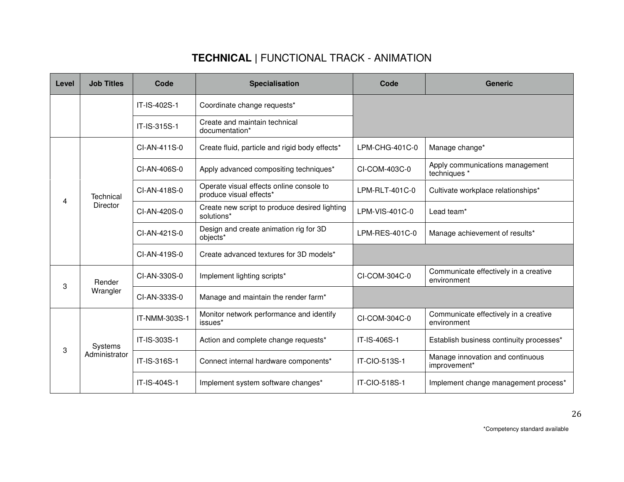| Level | <b>Job Titles</b> | Code          | <b>Specialisation</b>                                               | Code           | <b>Generic</b>                                       |
|-------|-------------------|---------------|---------------------------------------------------------------------|----------------|------------------------------------------------------|
|       |                   | IT-IS-402S-1  | Coordinate change requests*                                         |                |                                                      |
|       |                   | IT-IS-315S-1  | Create and maintain technical<br>documentation*                     |                |                                                      |
|       |                   | CI-AN-411S-0  | Create fluid, particle and rigid body effects*                      | LPM-CHG-401C-0 | Manage change*                                       |
|       |                   | CI-AN-406S-0  | Apply advanced compositing techniques*                              | CI-COM-403C-0  | Apply communications management<br>techniques *      |
| 4     | Technical         | CI-AN-418S-0  | Operate visual effects online console to<br>produce visual effects* | LPM-RLT-401C-0 | Cultivate workplace relationships*                   |
|       | <b>Director</b>   | CI-AN-420S-0  | Create new script to produce desired lighting<br>solutions*         | LPM-VIS-401C-0 | Lead team*                                           |
|       |                   | CI-AN-421S-0  | Design and create animation rig for 3D<br>objects*                  | LPM-RES-401C-0 | Manage achievement of results*                       |
|       |                   | CI-AN-419S-0  | Create advanced textures for 3D models*                             |                |                                                      |
| 3     | Render            | CI-AN-330S-0  | Implement lighting scripts*                                         | CI-COM-304C-0  | Communicate effectively in a creative<br>environment |
|       | Wrangler          | CI-AN-333S-0  | Manage and maintain the render farm*                                |                |                                                      |
|       |                   | IT-NMM-303S-1 | Monitor network performance and identify<br>issues*                 | CI-COM-304C-0  | Communicate effectively in a creative<br>environment |
| 3     | Systems           | IT-IS-303S-1  | Action and complete change requests*                                | IT-IS-406S-1   | Establish business continuity processes*             |
|       | Administrator     | IT-IS-316S-1  | Connect internal hardware components*                               | IT-CIO-513S-1  | Manage innovation and continuous<br>improvement*     |
|       |                   | IT-IS-404S-1  | Implement system software changes*                                  | IT-CIO-518S-1  | Implement change management process*                 |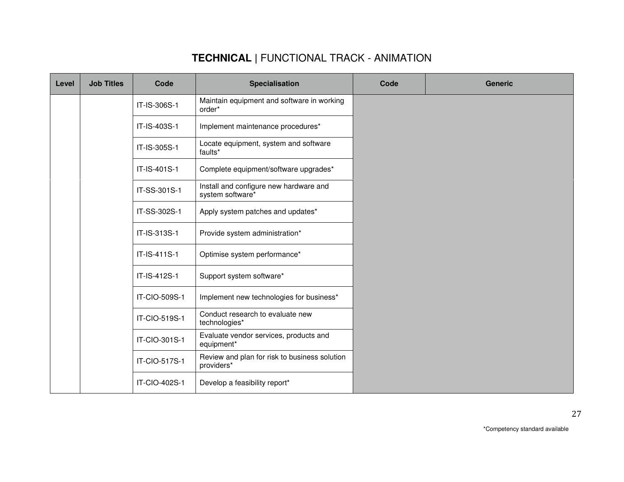| Level | <b>Job Titles</b> | Code          | <b>Specialisation</b>                                       | Code | <b>Generic</b> |
|-------|-------------------|---------------|-------------------------------------------------------------|------|----------------|
|       |                   | IT-IS-306S-1  | Maintain equipment and software in working<br>order*        |      |                |
|       |                   | IT-IS-403S-1  | Implement maintenance procedures*                           |      |                |
|       |                   | IT-IS-305S-1  | Locate equipment, system and software<br>faults*            |      |                |
|       |                   | IT-IS-401S-1  | Complete equipment/software upgrades*                       |      |                |
|       |                   | IT-SS-301S-1  | Install and configure new hardware and<br>system software*  |      |                |
|       |                   | IT-SS-302S-1  | Apply system patches and updates*                           |      |                |
|       |                   | IT-IS-313S-1  | Provide system administration*                              |      |                |
|       |                   | IT-IS-411S-1  | Optimise system performance*                                |      |                |
|       |                   | IT-IS-412S-1  | Support system software*                                    |      |                |
|       |                   | IT-CIO-509S-1 | Implement new technologies for business*                    |      |                |
|       |                   | IT-CIO-519S-1 | Conduct research to evaluate new<br>technologies*           |      |                |
|       |                   | IT-CIO-301S-1 | Evaluate vendor services, products and<br>equipment*        |      |                |
|       |                   | IT-CIO-517S-1 | Review and plan for risk to business solution<br>providers* |      |                |
|       |                   | IT-CIO-402S-1 | Develop a feasibility report*                               |      |                |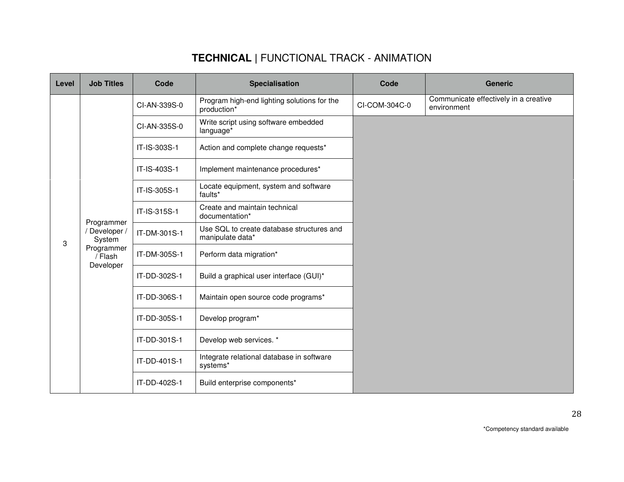| Level | <b>Job Titles</b>                                            | Code         | <b>Specialisation</b>                                         | Code          | <b>Generic</b>                                       |
|-------|--------------------------------------------------------------|--------------|---------------------------------------------------------------|---------------|------------------------------------------------------|
|       |                                                              | CI-AN-339S-0 | Program high-end lighting solutions for the<br>production*    | CI-COM-304C-0 | Communicate effectively in a creative<br>environment |
|       | Programmer<br>Developer /<br>System<br>Programmer<br>/ Flash | CI-AN-335S-0 | Write script using software embedded<br>language <sup>*</sup> |               |                                                      |
|       |                                                              | IT-IS-303S-1 | Action and complete change requests*                          |               |                                                      |
|       |                                                              | IT-IS-403S-1 | Implement maintenance procedures*                             |               |                                                      |
|       |                                                              | IT-IS-305S-1 | Locate equipment, system and software<br>faults*              |               |                                                      |
|       |                                                              | IT-IS-315S-1 | Create and maintain technical<br>documentation*               |               |                                                      |
| 3     |                                                              | IT-DM-301S-1 | Use SQL to create database structures and<br>manipulate data* |               |                                                      |
|       |                                                              | IT-DM-305S-1 | Perform data migration*                                       |               |                                                      |
|       | Developer                                                    | IT-DD-302S-1 | Build a graphical user interface (GUI)*                       |               |                                                      |
|       |                                                              | IT-DD-306S-1 | Maintain open source code programs*                           |               |                                                      |
|       |                                                              | IT-DD-305S-1 | Develop program*                                              |               |                                                      |
|       |                                                              | IT-DD-301S-1 | Develop web services. *                                       |               |                                                      |
|       |                                                              | IT-DD-401S-1 | Integrate relational database in software<br>systems*         |               |                                                      |
|       |                                                              | IT-DD-402S-1 | Build enterprise components*                                  |               |                                                      |